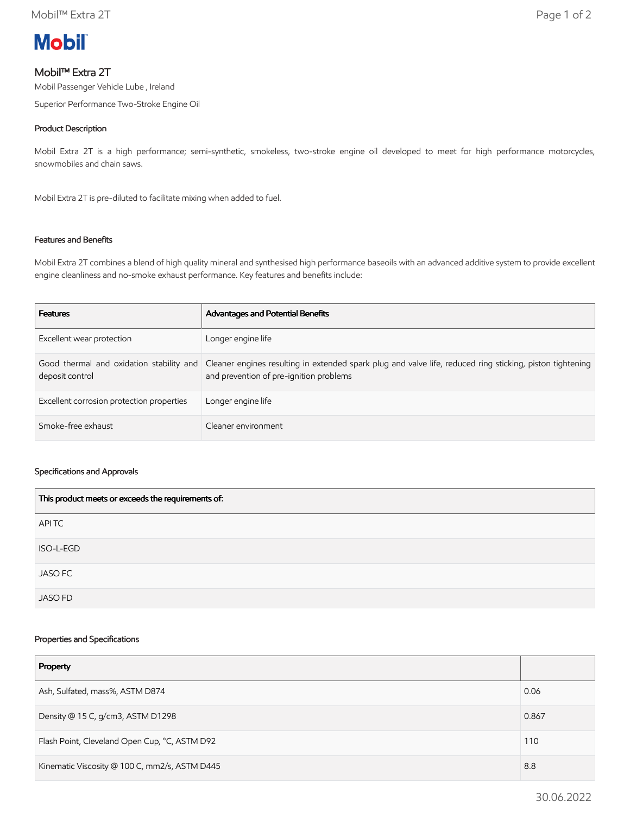

# Mobil™ Extra 2T

Mobil Passenger Vehicle Lube , Ireland

Superior Performance Two-Stroke Engine Oil

### Product Description

Mobil Extra 2T is a high performance; semi-synthetic, smokeless, two-stroke engine oil developed to meet for high performance motorcycles, snowmobiles and chain saws.

Mobil Extra 2T is pre-diluted to facilitate mixing when added to fuel.

## Features and Benefits

Mobil Extra 2T combines a blend of high quality mineral and synthesised high performance baseoils with an advanced additive system to provide excellent engine cleanliness and no-smoke exhaust performance. Key features and benefits include:

| <b>Features</b>                           | Advantages and Potential Benefits                                                                                                                                                             |
|-------------------------------------------|-----------------------------------------------------------------------------------------------------------------------------------------------------------------------------------------------|
| Excellent wear protection                 | Longer engine life                                                                                                                                                                            |
| deposit control                           | Good thermal and oxidation stability and Cleaner engines resulting in extended spark plug and valve life, reduced ring sticking, piston tightening<br>and prevention of pre-ignition problems |
| Excellent corrosion protection properties | Longer engine life                                                                                                                                                                            |
| Smoke-free exhaust                        | Cleaner environment                                                                                                                                                                           |

#### Specifications and Approvals

| This product meets or exceeds the requirements of: |
|----------------------------------------------------|
| APITC                                              |
| ISO-L-EGD                                          |
| <b>JASO FC</b>                                     |
| <b>JASO FD</b>                                     |

#### Properties and Specifications

| Property                                      |       |
|-----------------------------------------------|-------|
| Ash, Sulfated, mass%, ASTM D874               | 0.06  |
| Density @ 15 C, g/cm3, ASTM D1298             | 0.867 |
| Flash Point, Cleveland Open Cup, °C, ASTM D92 |       |
| Kinematic Viscosity @ 100 C, mm2/s, ASTM D445 |       |